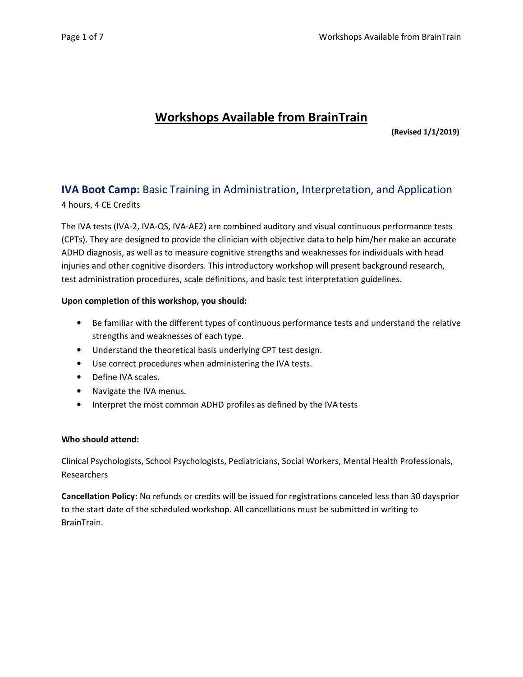# **Workshops Available from BrainTrain**

 **(Revised 1/1/2019)**

# **IVA Boot Camp:** Basic Training in Administration, Interpretation, and Application 4 hours, 4 CE Credits

The IVA tests (IVA‐2, IVA‐QS, IVA‐AE2) are combined auditory and visual continuous performance tests (CPTs). They are designed to provide the clinician with objective data to help him/her make an accurate ADHD diagnosis, as well as to measure cognitive strengths and weaknesses for individuals with head injuries and other cognitive disorders. This introductory workshop will present background research, test administration procedures, scale definitions, and basic test interpretation guidelines.

### **Upon completion of this workshop, you should:**

- Be familiar with the different types of continuous performance tests and understand the relative strengths and weaknesses of each type.
- Understand the theoretical basis underlying CPT test design.
- Use correct procedures when administering the IVA tests.
- Define IVA scales.
- Navigate the IVA menus.
- Interpret the most common ADHD profiles as defined by the IVA tests

### **Who should attend:**

Clinical Psychologists, School Psychologists, Pediatricians, Social Workers, Mental Health Professionals, Researchers

**Cancellation Policy:** No refunds or credits will be issued for registrations canceled less than 30 days prior to the start date of the scheduled workshop. All cancellations must be submitted in writing to BrainTrain.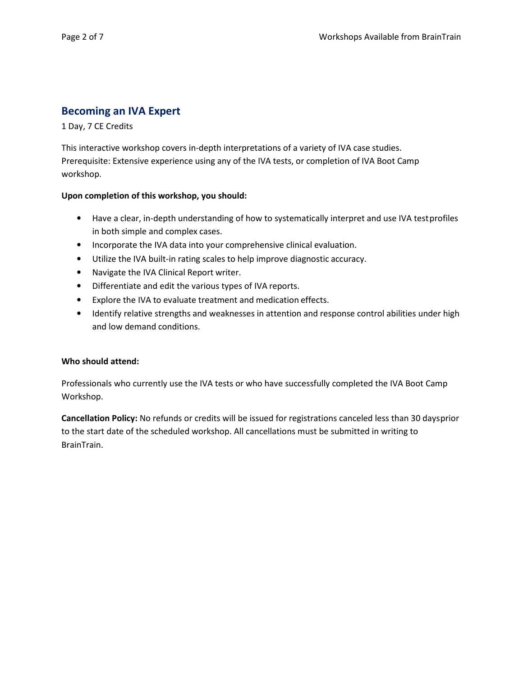## **Becoming an IVA Expert**

1 Day, 7 CE Credits

This interactive workshop covers in‐depth interpretations of a variety of IVA case studies. Prerequisite: Extensive experience using any of the IVA tests, or completion of IVA Boot Camp workshop.

### **Upon completion of this workshop, you should:**

- Have a clear, in-depth understanding of how to systematically interpret and use IVA test profiles in both simple and complex cases.
- Incorporate the IVA data into your comprehensive clinical evaluation.
- Utilize the IVA built‐in rating scales to help improve diagnostic accuracy.
- Navigate the IVA Clinical Report writer.
- Differentiate and edit the various types of IVA reports.
- Explore the IVA to evaluate treatment and medication effects.
- Identify relative strengths and weaknesses in attention and response control abilities under high and low demand conditions.

### **Who should attend:**

Professionals who currently use the IVA tests or who have successfully completed the IVA Boot Camp Workshop.

**Cancellation Policy:** No refunds or credits will be issued for registrations canceled less than 30 days prior to the start date of the scheduled workshop. All cancellations must be submitted in writing to BrainTrain.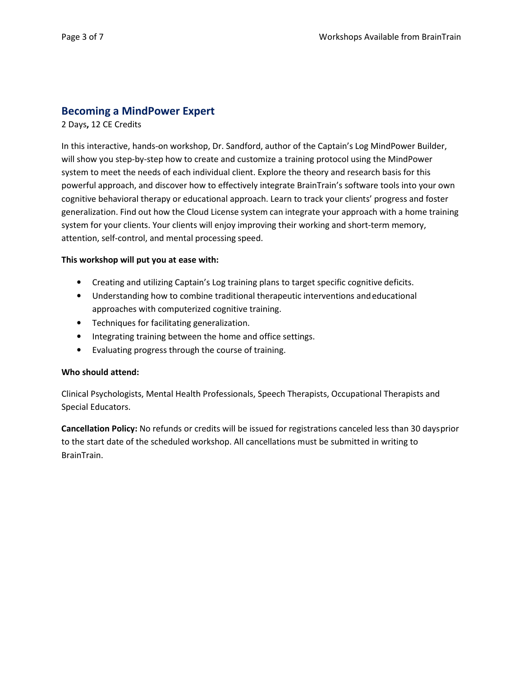### **Becoming a MindPower Expert**

2 Days**,** 12 CE Credits

In this interactive, hands‐on workshop, Dr. Sandford, author of the Captain's Log MindPower Builder, will show you step-by-step how to create and customize a training protocol using the MindPower system to meet the needs of each individual client. Explore the theory and research basis for this powerful approach, and discover how to effectively integrate BrainTrain's software tools into your own cognitive behavioral therapy or educational approach. Learn to track your clients' progress and foster generalization. Find out how the Cloud License system can integrate your approach with a home training system for your clients. Your clients will enjoy improving their working and short-term memory, attention, self‐control, and mental processing speed.

#### **This workshop will put you at ease with:**

- Creating and utilizing Captain's Log training plans to target specific cognitive deficits.
- Understanding how to combine traditional therapeutic interventions and educational approaches with computerized cognitive training.
- Techniques for facilitating generalization.
- Integrating training between the home and office settings.
- Evaluating progress through the course of training.

#### **Who should attend:**

Clinical Psychologists, Mental Health Professionals, Speech Therapists, Occupational Therapists and Special Educators.

**Cancellation Policy:** No refunds or credits will be issued for registrations canceled less than 30 days prior to the start date of the scheduled workshop. All cancellations must be submitted in writing to BrainTrain.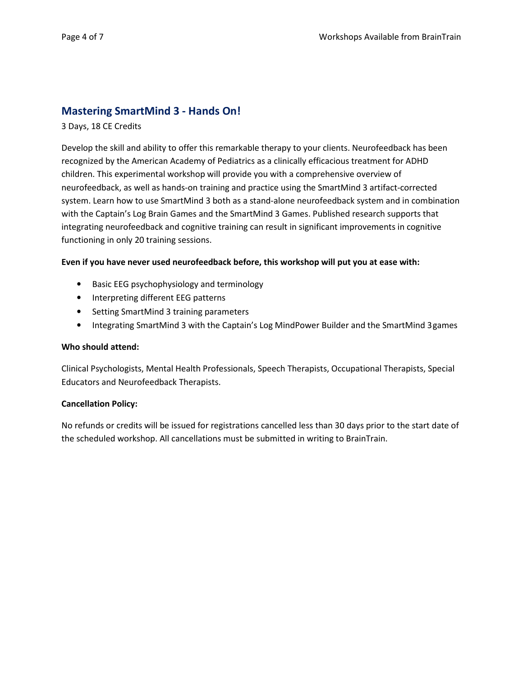## **Mastering SmartMind 3 ‐ Hands On!**

3 Days, 18 CE Credits

Develop the skill and ability to offer this remarkable therapy to your clients. Neurofeedback has been recognized by the American Academy of Pediatrics as a clinically efficacious treatment for ADHD children. This experimental workshop will provide you with a comprehensive overview of neurofeedback, as well as hands‐on training and practice using the SmartMind 3 artifact‐corrected system. Learn how to use SmartMind 3 both as a stand‐alone neurofeedback system and in combination with the Captain's Log Brain Games and the SmartMind 3 Games. Published research supports that integrating neurofeedback and cognitive training can result in significant improvements in cognitive functioning in only 20 training sessions.

#### **Even if you have never used neurofeedback before, this workshop will put you at ease with:**

- Basic EEG psychophysiology and terminology
- Interpreting different EEG patterns
- Setting SmartMind 3 training parameters
- Integrating SmartMind 3 with the Captain's Log MindPower Builder and the SmartMind 3 games

#### **Who should attend:**

Clinical Psychologists, Mental Health Professionals, Speech Therapists, Occupational Therapists, Special Educators and Neurofeedback Therapists.

### **Cancellation Policy:**

No refunds or credits will be issued for registrations cancelled less than 30 days prior to the start date of the scheduled workshop. All cancellations must be submitted in writing to BrainTrain.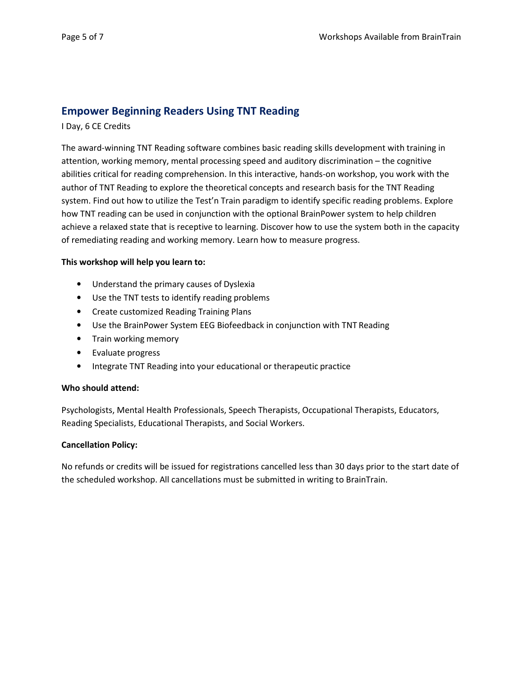### **Empower Beginning Readers Using TNT Reading**

I Day, 6 CE Credits

The award‐winning TNT Reading software combines basic reading skills development with training in attention, working memory, mental processing speed and auditory discrimination – the cognitive abilities critical for reading comprehension. In this interactive, hands‐on workshop, you work with the author of TNT Reading to explore the theoretical concepts and research basis for the TNT Reading system. Find out how to utilize the Test'n Train paradigm to identify specific reading problems. Explore how TNT reading can be used in conjunction with the optional BrainPower system to help children achieve a relaxed state that is receptive to learning. Discover how to use the system both in the capacity of remediating reading and working memory. Learn how to measure progress.

#### **This workshop will help you learn to:**

- Understand the primary causes of Dyslexia
- Use the TNT tests to identify reading problems
- Create customized Reading Training Plans
- Use the BrainPower System EEG Biofeedback in conjunction with TNT Reading
- Train working memory
- Evaluate progress
- Integrate TNT Reading into your educational or therapeutic practice

#### **Who should attend:**

Psychologists, Mental Health Professionals, Speech Therapists, Occupational Therapists, Educators, Reading Specialists, Educational Therapists, and Social Workers.

#### **Cancellation Policy:**

No refunds or credits will be issued for registrations cancelled less than 30 days prior to the start date of the scheduled workshop. All cancellations must be submitted in writing to BrainTrain.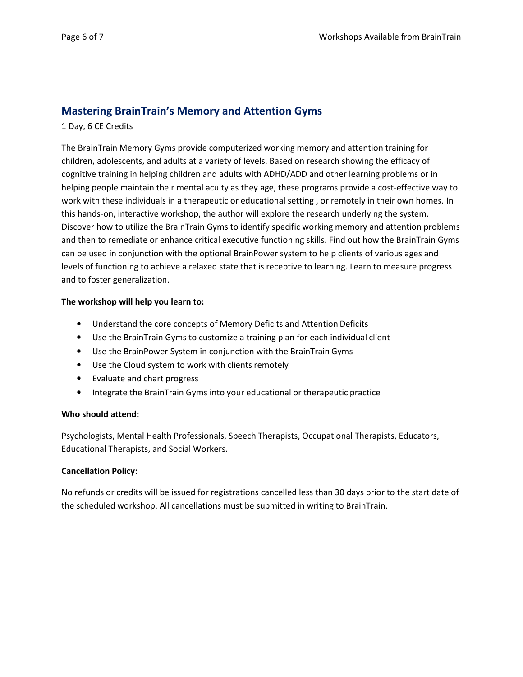## **Mastering BrainTrain's Memory and Attention Gyms**

1 Day, 6 CE Credits

The BrainTrain Memory Gyms provide computerized working memory and attention training for children, adolescents, and adults at a variety of levels. Based on research showing the efficacy of cognitive training in helping children and adults with ADHD/ADD and other learning problems or in helping people maintain their mental acuity as they age, these programs provide a cost-effective way to work with these individuals in a therapeutic or educational setting , or remotely in their own homes. In this hands‐on, interactive workshop, the author will explore the research underlying the system. Discover how to utilize the BrainTrain Gyms to identify specific working memory and attention problems and then to remediate or enhance critical executive functioning skills. Find out how the BrainTrain Gyms can be used in conjunction with the optional BrainPower system to help clients of various ages and levels of functioning to achieve a relaxed state that is receptive to learning. Learn to measure progress and to foster generalization.

### **The workshop will help you learn to:**

- Understand the core concepts of Memory Deficits and Attention Deficits
- Use the BrainTrain Gyms to customize a training plan for each individual client
- Use the BrainPower System in conjunction with the BrainTrain Gyms
- Use the Cloud system to work with clients remotely
- Evaluate and chart progress
- Integrate the BrainTrain Gyms into your educational or therapeutic practice

### **Who should attend:**

Psychologists, Mental Health Professionals, Speech Therapists, Occupational Therapists, Educators, Educational Therapists, and Social Workers.

### **Cancellation Policy:**

No refunds or credits will be issued for registrations cancelled less than 30 days prior to the start date of the scheduled workshop. All cancellations must be submitted in writing to BrainTrain.